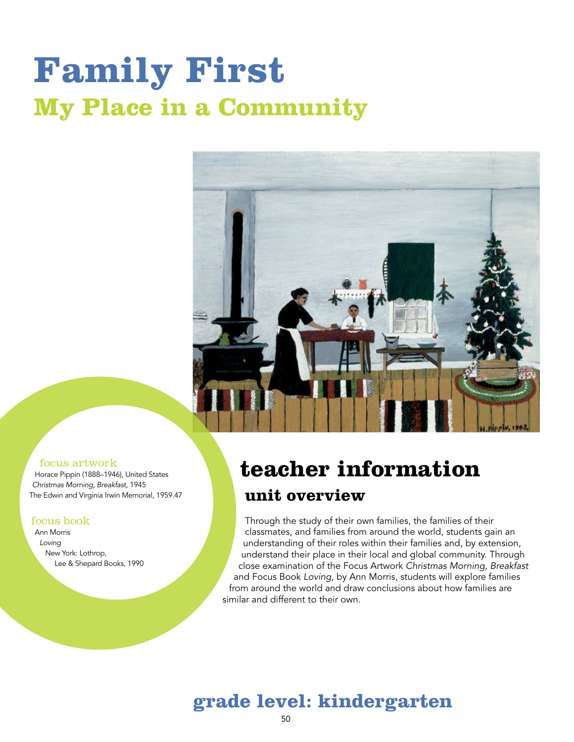# **Family First My Place in a Community**



#### focus artwork

Horace Pippin (1888–1946), United States *Christmas Morning, Breakfast,* 1945 The Edwin and Virginia Irwin Memorial, 1959.47

#### focus book

Ann Morris *Loving* New York: Lothrop, Lee & Shepard Books, 1990

#### **teacher information unit overview**

Through the study of their own families, the families of their classmates, and families from around the world, students gain an understanding of their roles within their families and, by extension, understand their place in their local and global community. Through close examination of the Focus Artwork *Christmas Morning, Breakfast* and Focus Book *Loving*, by Ann Morris, students will explore families from around the world and draw conclusions about how families are similar and different to their own.

#### **grade level: kindergarten**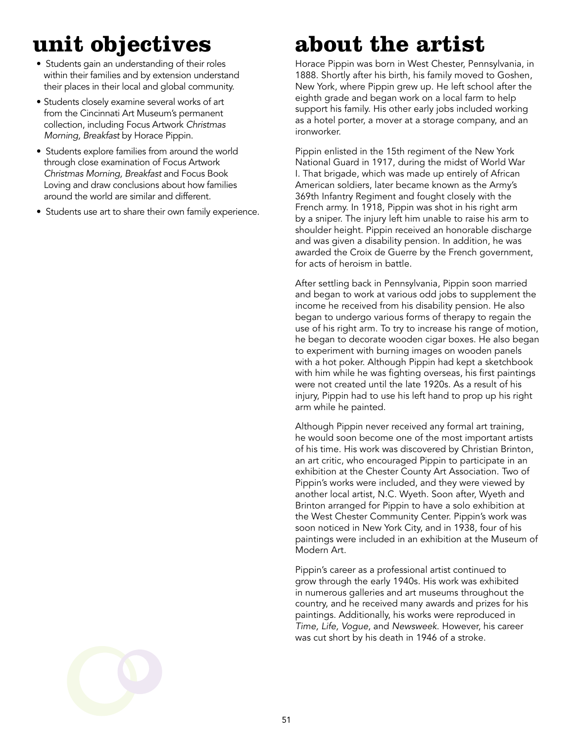### **unit objectives**

- Students gain an understanding of their roles within their families and by extension understand their places in their local and global community.
- Students closely examine several works of art from the Cincinnati Art Museum's permanent collection, including Focus Artwork *Christmas Morning, Breakfast* by Horace Pippin.
- Students explore families from around the world through close examination of Focus Artwork *Christmas Morning, Breakfast* and Focus Book Loving and draw conclusions about how families around the world are similar and different.
- Students use art to share their own family experience.

### **about the artist**

Horace Pippin was born in West Chester, Pennsylvania, in 1888. Shortly after his birth, his family moved to Goshen, New York, where Pippin grew up. He left school after the eighth grade and began work on a local farm to help support his family. His other early jobs included working as a hotel porter, a mover at a storage company, and an ironworker.

Pippin enlisted in the 15th regiment of the New York National Guard in 1917, during the midst of World War I. That brigade, which was made up entirely of African American soldiers, later became known as the Army's 369th Infantry Regiment and fought closely with the French army. In 1918, Pippin was shot in his right arm by a sniper. The injury left him unable to raise his arm to shoulder height. Pippin received an honorable discharge and was given a disability pension. In addition, he was awarded the Croix de Guerre by the French government, for acts of heroism in battle.

After settling back in Pennsylvania, Pippin soon married and began to work at various odd jobs to supplement the income he received from his disability pension. He also began to undergo various forms of therapy to regain the use of his right arm. To try to increase his range of motion, he began to decorate wooden cigar boxes. He also began to experiment with burning images on wooden panels with a hot poker. Although Pippin had kept a sketchbook with him while he was fighting overseas, his first paintings were not created until the late 1920s. As a result of his injury, Pippin had to use his left hand to prop up his right arm while he painted.

Although Pippin never received any formal art training, he would soon become one of the most important artists of his time. His work was discovered by Christian Brinton, an art critic, who encouraged Pippin to participate in an exhibition at the Chester County Art Association. Two of Pippin's works were included, and they were viewed by another local artist, N.C. Wyeth. Soon after, Wyeth and Brinton arranged for Pippin to have a solo exhibition at the West Chester Community Center. Pippin's work was soon noticed in New York City, and in 1938, four of his paintings were included in an exhibition at the Museum of Modern Art.

Pippin's career as a professional artist continued to grow through the early 1940s. His work was exhibited in numerous galleries and art museums throughout the country, and he received many awards and prizes for his paintings. Additionally, his works were reproduced in *Time, Life, Vogue*, and *Newsweek*. However, his career was cut short by his death in 1946 of a stroke.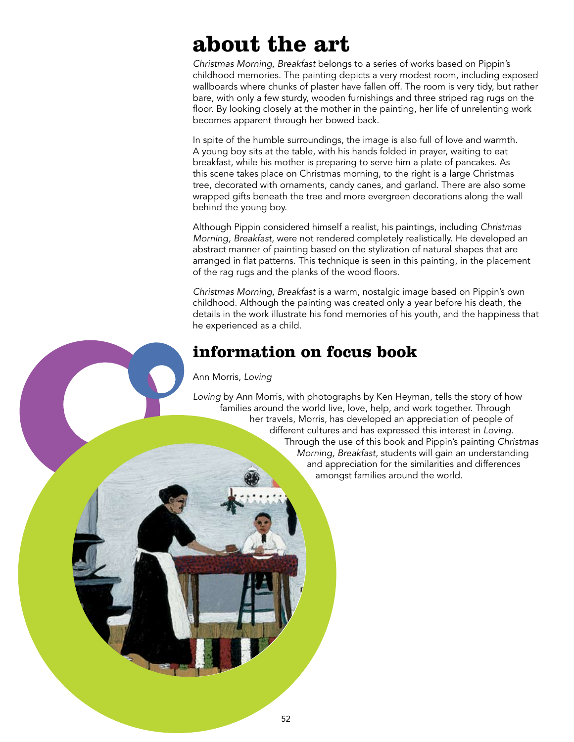### **about the art**

*Christmas Morning, Breakfast* belongs to a series of works based on Pippin's childhood memories. The painting depicts a very modest room, including exposed wallboards where chunks of plaster have fallen off. The room is very tidy, but rather bare, with only a few sturdy, wooden furnishings and three striped rag rugs on the floor. By looking closely at the mother in the painting, her life of unrelenting work becomes apparent through her bowed back.

In spite of the humble surroundings, the image is also full of love and warmth. A young boy sits at the table, with his hands folded in prayer, waiting to eat breakfast, while his mother is preparing to serve him a plate of pancakes. As this scene takes place on Christmas morning, to the right is a large Christmas tree, decorated with ornaments, candy canes, and garland. There are also some wrapped gifts beneath the tree and more evergreen decorations along the wall behind the young boy.

Although Pippin considered himself a realist, his paintings, including *Christmas Morning, Breakfast*, were not rendered completely realistically. He developed an abstract manner of painting based on the stylization of natural shapes that are arranged in flat patterns. This technique is seen in this painting, in the placement of the rag rugs and the planks of the wood floors.

*Christmas Morning, Breakfast* is a warm, nostalgic image based on Pippin's own childhood. Although the painting was created only a year before his death, the details in the work illustrate his fond memories of his youth, and the happiness that he experienced as a child.

#### **information on focus book**

#### Ann Morris, *Loving*

*Loving* by Ann Morris, with photographs by Ken Heyman, tells the story of how families around the world live, love, help, and work together. Through her travels, Morris, has developed an appreciation of people of different cultures and has expressed this interest in *Loving*. Through the use of this book and Pippin's painting *Christmas Morning, Breakfast*, students will gain an understanding and appreciation for the similarities and differences amongst families around the world.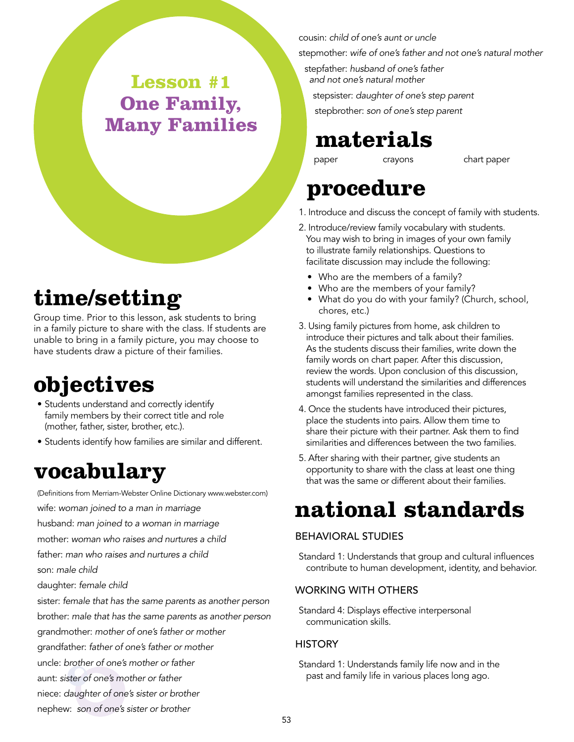#### **Lesson #1 One Family, Many Families**

### **time/setting**

Group time. Prior to this lesson, ask students to bring in a family picture to share with the class. If students are unable to bring in a family picture, you may choose to have students draw a picture of their families.

### **objectives**

- Students understand and correctly identify family members by their correct title and role (mother, father, sister, brother, etc.).
- Students identify how families are similar and different.

#### **vocabulary**

(Definitions from Merriam-Webster Online Dictionary www.webster.com) wife: *woman joined to a man in marriage* husband: *man joined to a woman in marriage* mother: *woman who raises and nurtures a child* father: *man who raises and nurtures a child* son: *male child* daughter: *female child* sister: *female that has the same parents as another person* brother: *male that has the same parents as another person* grandmother: *mother of one's father or mother* grandfather: *father of one's father or mother*

uncle: *brother of one's mother or father*

aunt: *sister of one's mother or father*

niece: *daughter of one's sister or brother*

nephew: *son of one's sister or brother*

cousin: *child of one's aunt or uncle*

stepmother: *wife of one's father and not one's natural mother*

stepfather: *husband of one's father and not one's natural mother* stepsister: *daughter of one's step parent* stepbrother: *son of one's step parent*

### **materials**

paper crayons chart paper

#### **procedure**

- 1. Introduce and discuss the concept of family with students.
- 2. Introduce/review family vocabulary with students. You may wish to bring in images of your own family to illustrate family relationships. Questions to facilitate discussion may include the following:
	- Who are the members of a family?
	- Who are the members of your family?
	- What do you do with your family? (Church, school, chores, etc.)
- 3. Using family pictures from home, ask children to introduce their pictures and talk about their families. As the students discuss their families, write down the family words on chart paper. After this discussion, review the words. Upon conclusion of this discussion, students will understand the similarities and differences amongst families represented in the class.
- 4. Once the students have introduced their pictures, place the students into pairs. Allow them time to share their picture with their partner. Ask them to find similarities and differences between the two families.
- 5. After sharing with their partner, give students an opportunity to share with the class at least one thing that was the same or different about their families.

### **national standards**

#### Behavioral Studies

Standard 1: Understands that group and cultural influences contribute to human development, identity, and behavior.

#### Working with Others

Standard 4: Displays effective interpersonal communication skills.

#### **HISTORY**

Standard 1: Understands family life now and in the past and family life in various places long ago.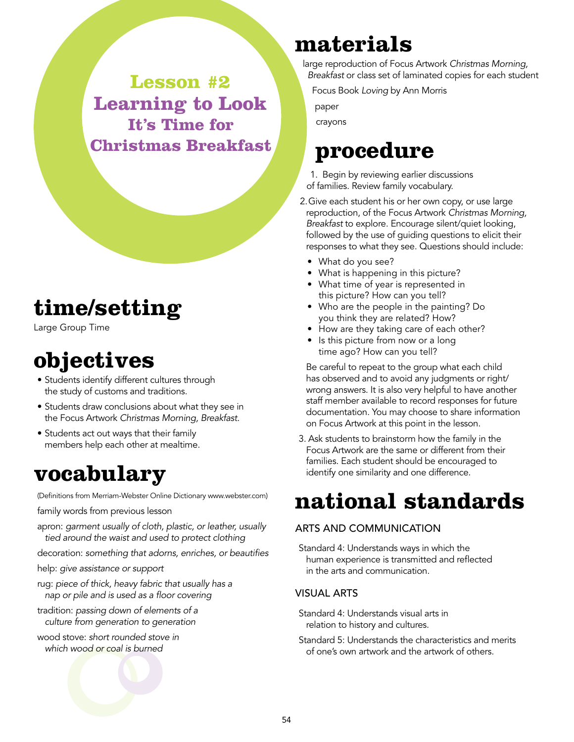**Lesson #2 Learning to Look It's Time for Christmas Breakfast**

### **time/setting**

Large Group Time

### **objectives**

- Students identify different cultures through the study of customs and traditions.
- Students draw conclusions about what they see in the Focus Artwork *Christmas Morning, Breakfast*.
- Students act out ways that their family members help each other at mealtime.

#### **vocabulary**

(Definitions from Merriam-Webster Online Dictionary www.webster.com)

family words from previous lesson

- apron: *garment usually of cloth, plastic, or leather, usually tied around the waist and used to protect clothing*
- decoration: *something that adorns, enriches, or beautifies*

help: *give assistance or support*

- rug: *piece of thick, heavy fabric that usually has a nap or pile and is used as a floor covering*
- tradition: *passing down of elements of a culture from generation to generation*
- wood stove: *short rounded stove in which wood or coal is burned*

#### **materials**

large reproduction of Focus Artwork *Christmas Morning, Breakfast* or class set of laminated copies for each student

Focus Book *Loving* by Ann Morris

paper

crayons

#### **procedure**

1. Begin by reviewing earlier discussions of families. Review family vocabulary.

- 2.Give each student his or her own copy, or use large reproduction, of the Focus Artwork *Christmas Morning, Breakfast* to explore. Encourage silent/quiet looking, followed by the use of guiding questions to elicit their responses to what they see. Questions should include:
	- What do you see?
	- What is happening in this picture?
	- What time of year is represented in this picture? How can you tell?
	- Who are the people in the painting? Do you think they are related? How?
	- How are they taking care of each other?
	- Is this picture from now or a long time ago? How can you tell?

Be careful to repeat to the group what each child has observed and to avoid any judgments or right/ wrong answers. It is also very helpful to have another staff member available to record responses for future documentation. You may choose to share information on Focus Artwork at this point in the lesson.

3. Ask students to brainstorm how the family in the Focus Artwork are the same or different from their families. Each student should be encouraged to identify one similarity and one difference.

#### **national standards**

#### Arts and Communication

Standard 4: Understands ways in which the human experience is transmitted and reflected in the arts and communication.

#### Visual Arts

Standard 4: Understands visual arts in relation to history and cultures.

Standard 5: Understands the characteristics and merits of one's own artwork and the artwork of others.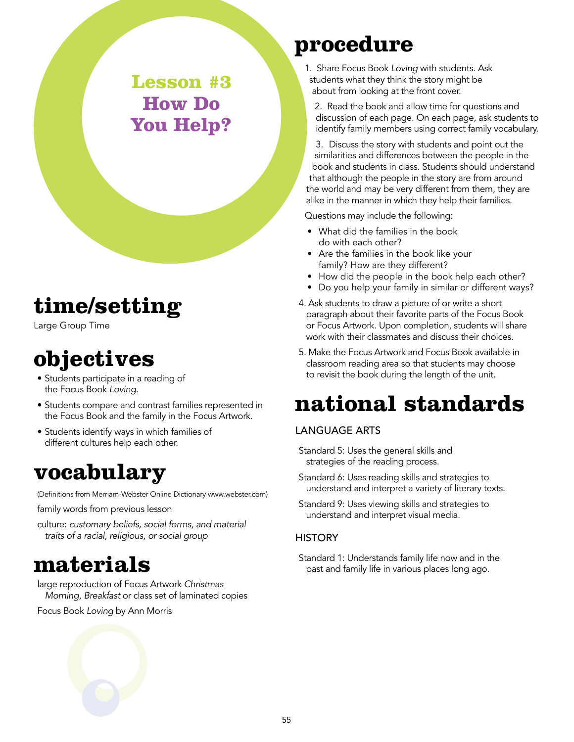**Lesson #3 How Do You Help?**

### **time/setting**

Large Group Time

### **objectives**

- Students participate in a reading of the Focus Book *Loving.*
- Students compare and contrast families represented in the Focus Book and the family in the Focus Artwork.
- Students identify ways in which families of different cultures help each other.

#### **vocabulary**

(Definitions from Merriam-Webster Online Dictionary www.webster.com)

family words from previous lesson

culture: *customary beliefs, social forms, and material traits of a racial, religious, or social group*

#### **materials**

large reproduction of Focus Artwork *Christmas Morning, Breakfast* or class set of laminated copies

Focus Book *Loving* by Ann Morris

#### **procedure**

1. Share Focus Book *Loving* with students. Ask students what they think the story might be about from looking at the front cover.

2. Read the book and allow time for questions and discussion of each page. On each page, ask students to identify family members using correct family vocabulary.

3. Discuss the story with students and point out the similarities and differences between the people in the book and students in class. Students should understand that although the people in the story are from around the world and may be very different from them, they are alike in the manner in which they help their families.

Questions may include the following:

- What did the families in the book do with each other?
- Are the families in the book like your family? How are they different?
- How did the people in the book help each other?
- Do you help your family in similar or different ways?
- 4. Ask students to draw a picture of or write a short paragraph about their favorite parts of the Focus Book or Focus Artwork. Upon completion, students will share work with their classmates and discuss their choices.
- 5. Make the Focus Artwork and Focus Book available in classroom reading area so that students may choose to revisit the book during the length of the unit.

### **national standards**

#### Language Arts

- Standard 5: Uses the general skills and strategies of the reading process.
- Standard 6: Uses reading skills and strategies to understand and interpret a variety of literary texts.
- Standard 9: Uses viewing skills and strategies to understand and interpret visual media.

#### **HISTORY**

Standard 1: Understands family life now and in the past and family life in various places long ago.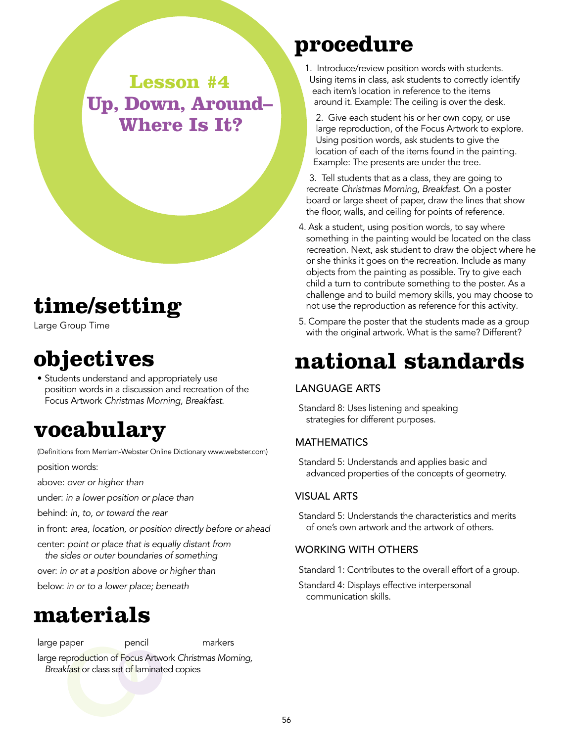**Lesson #4 Up, Down, Around– Where Is It?**

### **time/setting**

Large Group Time

### **objectives**

• Students understand and appropriately use position words in a discussion and recreation of the Focus Artwork *Christmas Morning, Breakfast*.

### **vocabulary**

(Definitions from Merriam-Webster Online Dictionary www.webster.com) position words:

above: *over or higher than*

under: *in a lower position or place than*

behind: *in, to, or toward the rear*

in front: *area, location, or position directly before or ahead*

center: *point or place that is equally distant from the sides or outer boundaries of something*

over: *in or at a position above or higher than*

below: *in or to a lower place; beneath*

#### **materials**

large paper bencil markers

large reproduction of Focus Artwork *Christmas Morning, Breakfast* or class set of laminated copies

#### **procedure**

- 1. Introduce/review position words with students. Using items in class, ask students to correctly identify each item's location in reference to the items around it. Example: The ceiling is over the desk.
	- 2. Give each student his or her own copy, or use large reproduction, of the Focus Artwork to explore. Using position words, ask students to give the location of each of the items found in the painting. Example: The presents are under the tree.

3. Tell students that as a class, they are going to recreate *Christmas Morning, Breakfast*. On a poster board or large sheet of paper, draw the lines that show the floor, walls, and ceiling for points of reference.

- 4. Ask a student, using position words, to say where something in the painting would be located on the class recreation. Next, ask student to draw the object where he or she thinks it goes on the recreation. Include as many objects from the painting as possible. Try to give each child a turn to contribute something to the poster. As a challenge and to build memory skills, you may choose to not use the reproduction as reference for this activity*.*
- 5. Compare the poster that the students made as a group with the original artwork. What is the same? Different?

### **national standards**

#### Language Arts

Standard 8: Uses listening and speaking strategies for different purposes.

#### **MATHEMATICS**

Standard 5: Understands and applies basic and advanced properties of the concepts of geometry.

#### Visual Arts

Standard 5: Understands the characteristics and merits of one's own artwork and the artwork of others.

#### Working with Others

Standard 1: Contributes to the overall effort of a group.

Standard 4: Displays effective interpersonal communication skills.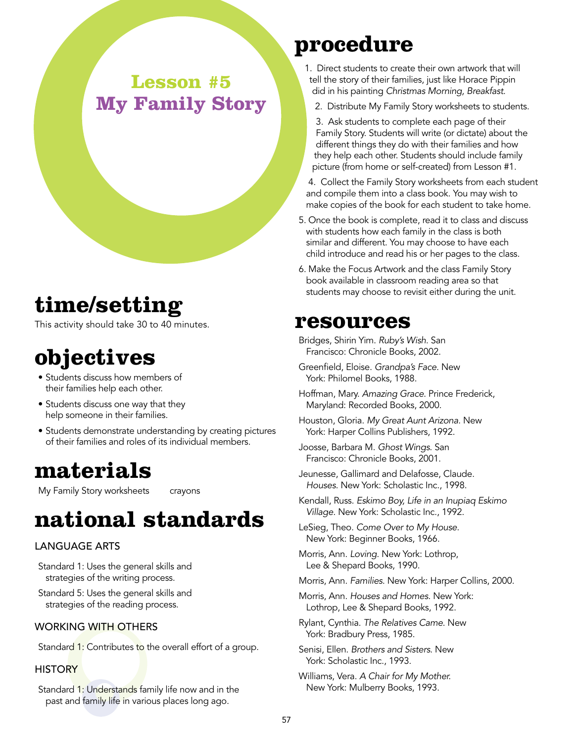#### **Lesson #5 My Family Story**

#### **time/setting**

This activity should take 30 to 40 minutes.

### **objectives**

- Students discuss how members of their families help each other.
- Students discuss one way that they help someone in their families.
- Students demonstrate understanding by creating pictures of their families and roles of its individual members.

#### **materials**

My Family Story worksheets crayons

### **national standards**

#### Language Arts

- Standard 1: Uses the general skills and strategies of the writing process.
- Standard 5: Uses the general skills and strategies of the reading process.

#### WORKING WITH OTHERS

Standard 1: Contributes to the overall effort of a group.

#### **HISTORY**

Standard 1: Understands family life now and in the past and family life in various places long ago.

#### **procedure**

- 1. Direct students to create their own artwork that will tell the story of their families, just like Horace Pippin did in his painting *Christmas Morning, Breakfast*.
	- 2. Distribute My Family Story worksheets to students.
	- 3. Ask students to complete each page of their Family Story. Students will write (or dictate) about the different things they do with their families and how they help each other. Students should include family picture (from home or self-created) from Lesson #1.
- 4. Collect the Family Story worksheets from each student and compile them into a class book. You may wish to make copies of the book for each student to take home*.*
- 5. Once the book is complete, read it to class and discuss with students how each family in the class is both similar and different. You may choose to have each child introduce and read his or her pages to the class*.*
- 6. Make the Focus Artwork and the class Family Story book available in classroom reading area so that students may choose to revisit either during the unit.

#### **resources**

- Bridges, Shirin Yim. *Ruby's Wish*. San Francisco: Chronicle Books, 2002.
- Greenfield, Eloise. *Grandpa's Face*. New York: Philomel Books, 1988.
- Hoffman, Mary. *Amazing Grace*. Prince Frederick, Maryland: Recorded Books, 2000.
- Houston, Gloria. *My Great Aunt Arizona*. New York: Harper Collins Publishers, 1992.
- Joosse, Barbara M. *Ghost Wings*. San Francisco: Chronicle Books, 2001.
- Jeunesse, Gallimard and Delafosse, Claude. *Houses*. New York: Scholastic Inc., 1998.
- Kendall, Russ. *Eskimo Boy, Life in an Inupiaq Eskimo Village*. New York: Scholastic Inc., 1992.
- LeSieg, Theo. *Come Over to My House*. New York: Beginner Books, 1966.
- Morris, Ann. *Loving*. New York: Lothrop, Lee & Shepard Books, 1990.
- Morris, Ann. *Families*. New York: Harper Collins, 2000.
- Morris, Ann. *Houses and Homes*. New York: Lothrop, Lee & Shepard Books, 1992.
- Rylant, Cynthia. *The Relatives Came*. New York: Bradbury Press, 1985.
- Senisi, Ellen. *Brothers and Sisters*. New York: Scholastic Inc., 1993.
- Williams, Vera. *A Chair for My Mother.* New York: Mulberry Books, 1993.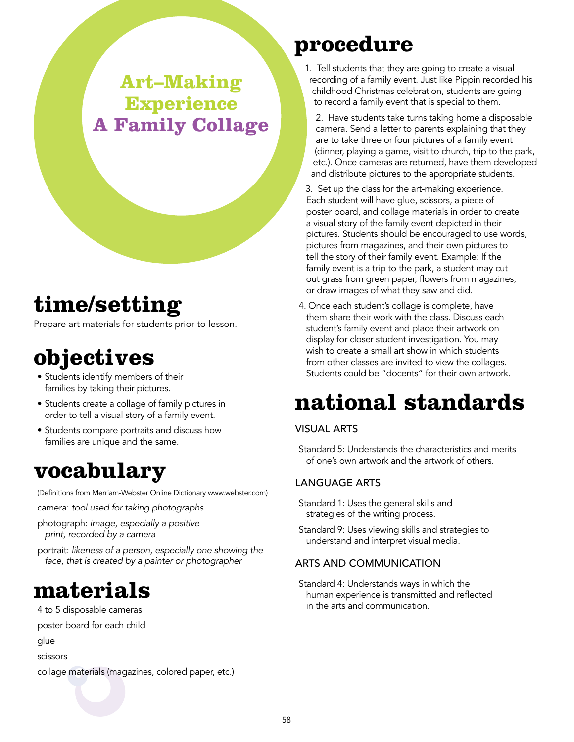#### **Art–Making Experience A Family Collage**

### **time/setting**

Prepare art materials for students prior to lesson.

### **objectives**

- Students identify members of their families by taking their pictures.
- Students create a collage of family pictures in order to tell a visual story of a family event.
- Students compare portraits and discuss how families are unique and the same.

#### **vocabulary**

(Definitions from Merriam-Webster Online Dictionary www.webster.com)

camera: *tool used for taking photographs*

- photograph: *image, especially a positive print, recorded by a camera*
- portrait: *likeness of a person, especially one showing the face, that is created by a painter or photographer*

#### **materials**

- 4 to 5 disposable cameras
- poster board for each child
- glue
- scissors

collage materials (magazines, colored paper, etc.)

### **procedure**

- 1. Tell students that they are going to create a visual recording of a family event. Just like Pippin recorded his childhood Christmas celebration, students are going to record a family event that is special to them.
	- 2. Have students take turns taking home a disposable camera. Send a letter to parents explaining that they are to take three or four pictures of a family event (dinner, playing a game, visit to church, trip to the park, etc.). Once cameras are returned, have them developed and distribute pictures to the appropriate students.
- 3. Set up the class for the art-making experience. Each student will have glue, scissors, a piece of poster board, and collage materials in order to create a visual story of the family event depicted in their pictures. Students should be encouraged to use words, pictures from magazines, and their own pictures to tell the story of their family event. Example: If the family event is a trip to the park, a student may cut out grass from green paper, flowers from magazines, or draw images of what they saw and did.
- 4. Once each student's collage is complete, have them share their work with the class. Discuss each student's family event and place their artwork on display for closer student investigation. You may wish to create a small art show in which students from other classes are invited to view the collages. Students could be "docents" for their own artwork.

### **national standards**

#### Visual Arts

Standard 5: Understands the characteristics and merits of one's own artwork and the artwork of others.

#### Language Arts

- Standard 1: Uses the general skills and strategies of the writing process.
- Standard 9: Uses viewing skills and strategies to understand and interpret visual media.

#### Arts and Communication

Standard 4: Understands ways in which the human experience is transmitted and reflected in the arts and communication.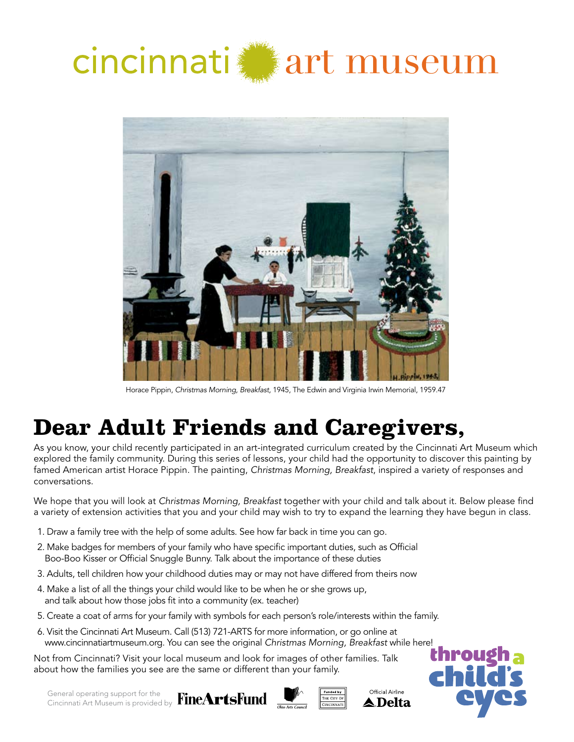



Horace Pippin, *Christmas Morning, Breakfast,* 1945, The Edwin and Virginia Irwin Memorial, 1959.47

### **Dear Adult Friends and Caregivers,**

As you know, your child recently participated in an art-integrated curriculum created by the Cincinnati Art Museum which explored the family community. During this series of lessons, your child had the opportunity to discover this painting by famed American artist Horace Pippin. The painting, *Christmas Morning, Breakfast*, inspired a variety of responses and conversations.

We hope that you will look at *Christmas Morning, Breakfast* together with your child and talk about it. Below please find a variety of extension activities that you and your child may wish to try to expand the learning they have begun in class.

- 1. Draw a family tree with the help of some adults. See how far back in time you can go.
- 2. Make badges for members of your family who have specific important duties, such as Official Boo-Boo Kisser or Official Snuggle Bunny. Talk about the importance of these duties
- 3. Adults, tell children how your childhood duties may or may not have differed from theirs now
- 4. Make a list of all the things your child would like to be when he or she grows up, and talk about how those jobs fit into a community (ex. teacher)
- 5. Create a coat of arms for your family with symbols for each person's role/interests within the family.
- 6. Visit the Cincinnati Art Museum. Call (513) 721-ARTS for more information, or go online at www.cincinnatiartmuseum.org. You can see the original *Christmas Morning, Breakfast* while here!

Not from Cincinnati? Visit your local museum and look for images of other families. Talk about how the families you see are the same or different than your family.

General operating support for the Cincinnati Art Museum is provided by



Official Airline ▲ Delta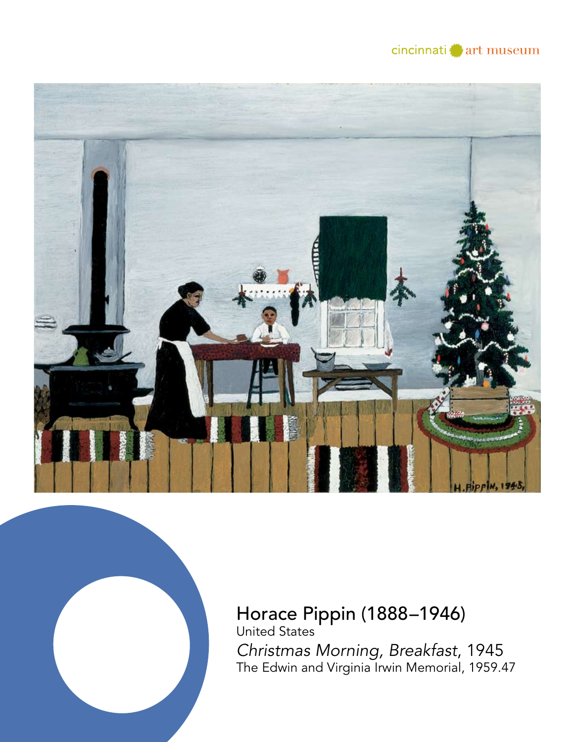





### Horace Pippin (1888–1946) United States

*Christmas Morning, Breakfast*, 1945 The Edwin and Virginia Irwin Memorial, 1959.47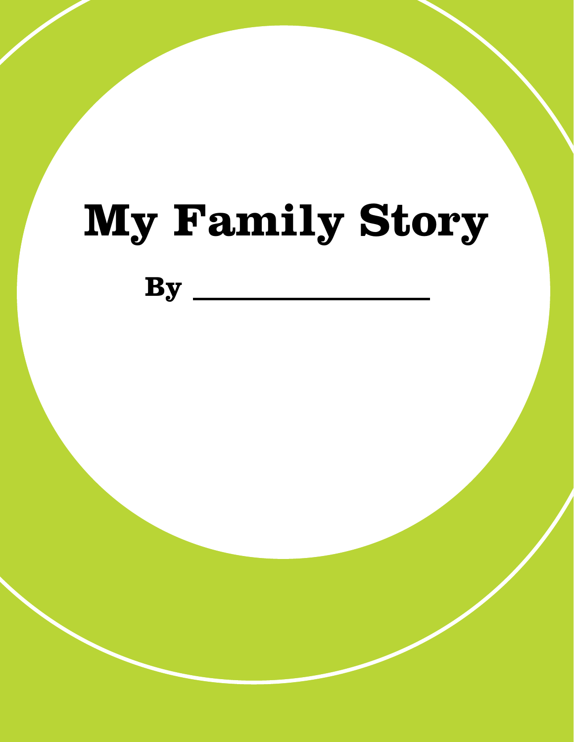# **My Family Story**

**By**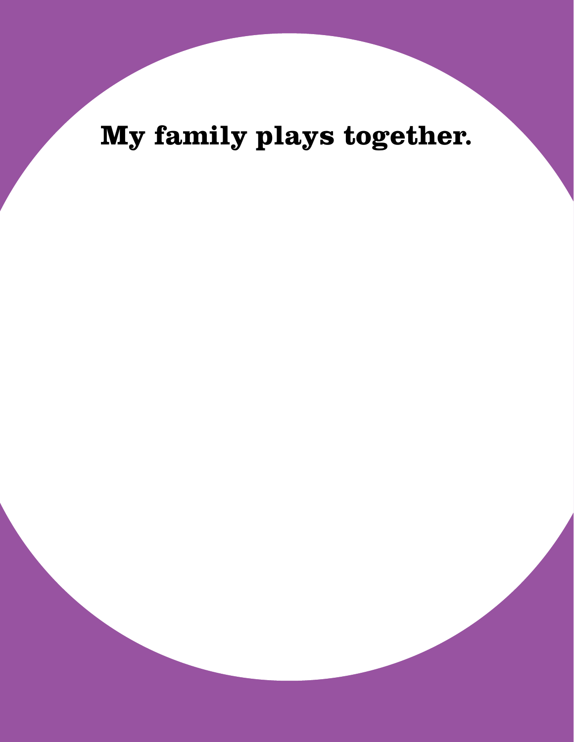**My family plays together.**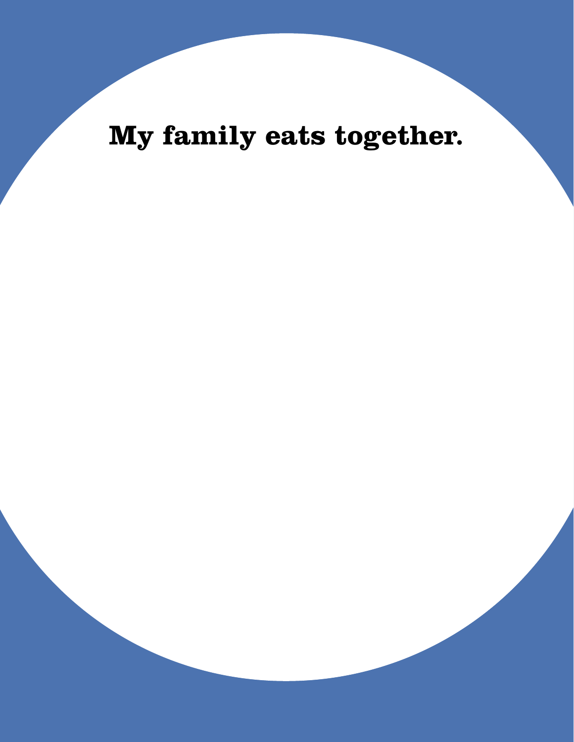**My family eats together.**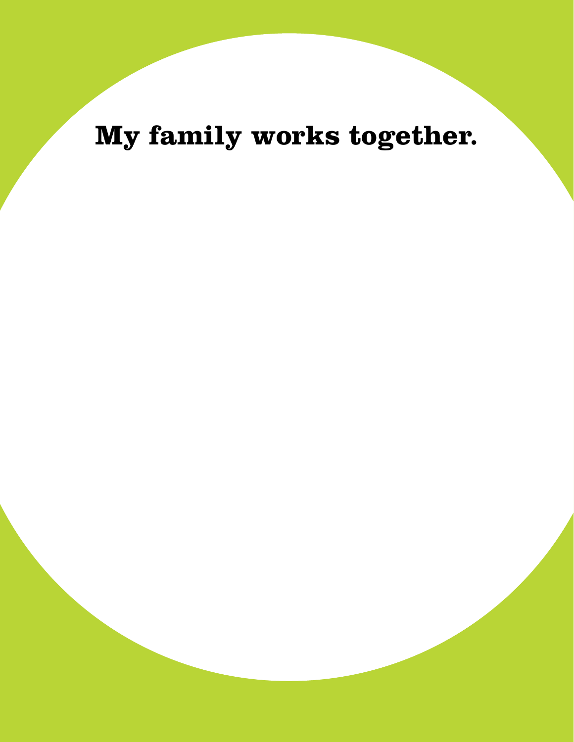**My family works together.**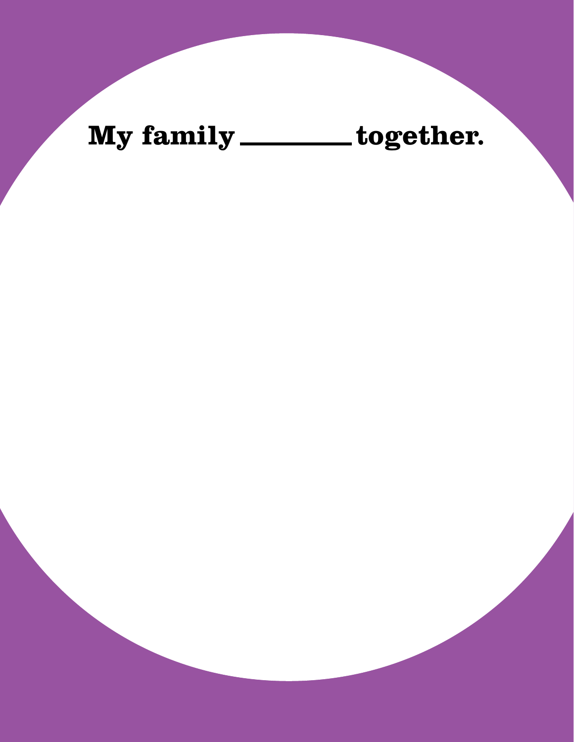## My family \_\_\_\_\_\_\_ together.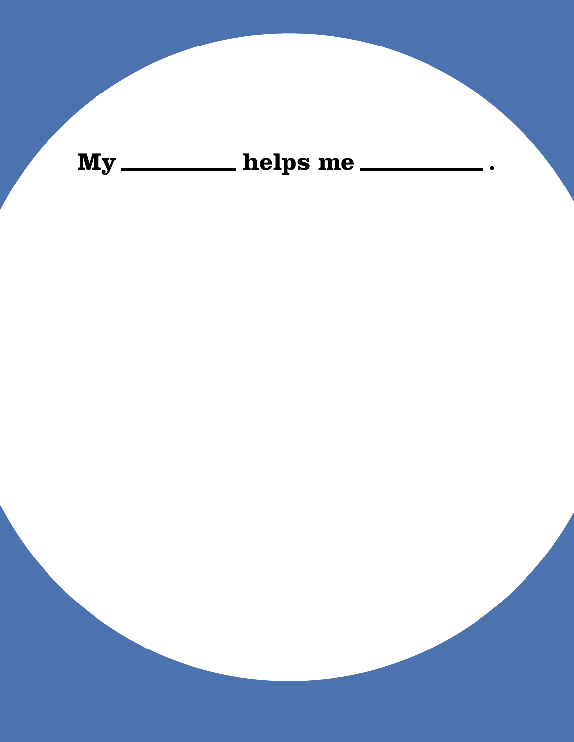